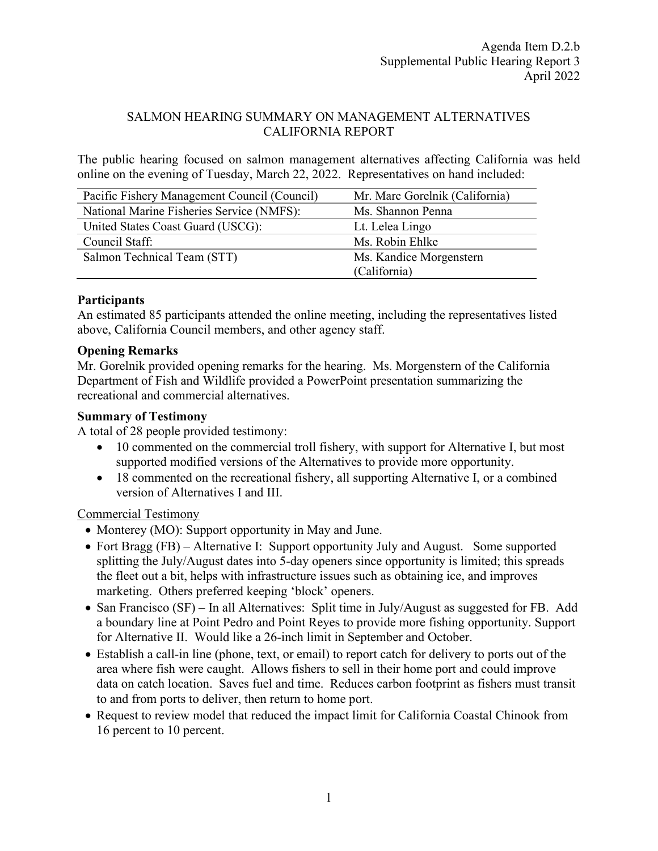### SALMON HEARING SUMMARY ON MANAGEMENT ALTERNATIVES CALIFORNIA REPORT

The public hearing focused on salmon management alternatives affecting California was held online on the evening of Tuesday, March 22, 2022. Representatives on hand included:

| Pacific Fishery Management Council (Council) | Mr. Marc Gorelnik (California) |
|----------------------------------------------|--------------------------------|
| National Marine Fisheries Service (NMFS):    | Ms. Shannon Penna              |
| United States Coast Guard (USCG):            | Lt. Lelea Lingo                |
| Council Staff:                               | Ms. Robin Ehlke                |
| Salmon Technical Team (STT)                  | Ms. Kandice Morgenstern        |
|                                              | (California)                   |

## **Participants**

An estimated 85 participants attended the online meeting, including the representatives listed above, California Council members, and other agency staff.

## **Opening Remarks**

Mr. Gorelnik provided opening remarks for the hearing. Ms. Morgenstern of the California Department of Fish and Wildlife provided a PowerPoint presentation summarizing the recreational and commercial alternatives.

## **Summary of Testimony**

A total of 28 people provided testimony:

- 10 commented on the commercial troll fishery, with support for Alternative I, but most supported modified versions of the Alternatives to provide more opportunity.
- 18 commented on the recreational fishery, all supporting Alternative I, or a combined version of Alternatives I and III.

# Commercial Testimony

- Monterey (MO): Support opportunity in May and June.
- Fort Bragg (FB) Alternative I: Support opportunity July and August. Some supported splitting the July/August dates into 5-day openers since opportunity is limited; this spreads the fleet out a bit, helps with infrastructure issues such as obtaining ice, and improves marketing. Others preferred keeping 'block' openers.
- San Francisco (SF) In all Alternatives: Split time in July/August as suggested for FB. Add a boundary line at Point Pedro and Point Reyes to provide more fishing opportunity. Support for Alternative II. Would like a 26-inch limit in September and October.
- Establish a call-in line (phone, text, or email) to report catch for delivery to ports out of the area where fish were caught. Allows fishers to sell in their home port and could improve data on catch location. Saves fuel and time. Reduces carbon footprint as fishers must transit to and from ports to deliver, then return to home port.
- Request to review model that reduced the impact limit for California Coastal Chinook from 16 percent to 10 percent.